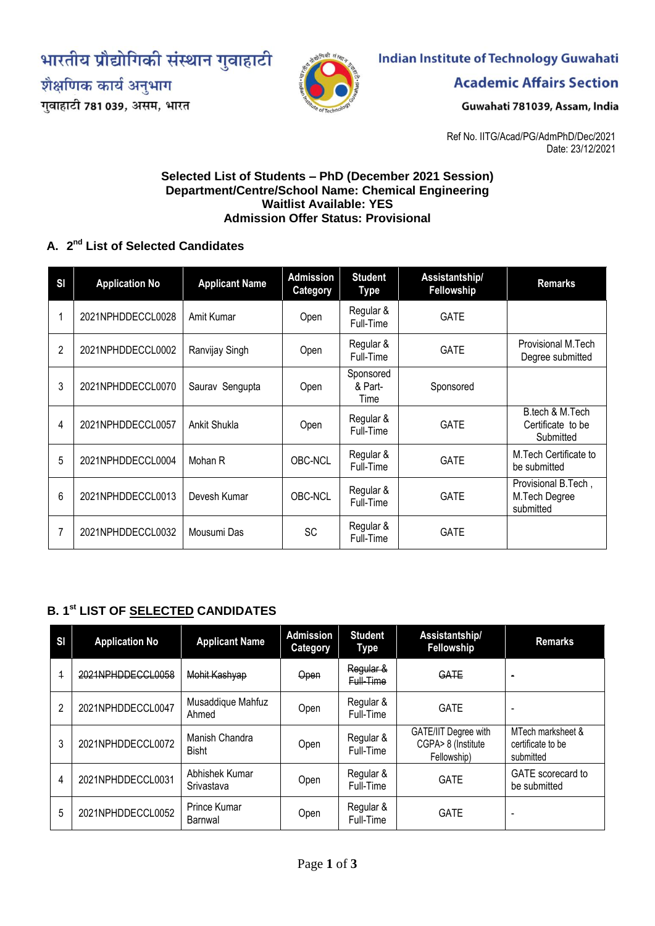भारतीय प्रौद्योगिकी संस्थान गुवाहाटी



गुवाहाटी 781 039, असम, भारत



# **Indian Institute of Technology Guwahati**

**Academic Affairs Section** 

Guwahati 781039, Assam, India

Ref No. IITG/Acad/PG/AdmPhD/Dec/2021 Date: 23/12/2021

#### **Selected List of Students – PhD (December 2021 Session) Department/Centre/School Name: Chemical Engineering Waitlist Available: YES Admission Offer Status: Provisional**

#### **A. 2 nd List of Selected Candidates**

| <b>SI</b> | <b>Application No</b> | <b>Applicant Name</b> | <b>Admission</b><br><b>Category</b> | <b>Student</b><br>Type       | Assistantship/<br>Fellowship | <b>Remarks</b>                                    |
|-----------|-----------------------|-----------------------|-------------------------------------|------------------------------|------------------------------|---------------------------------------------------|
|           | 2021NPHDDECCL0028     | Amit Kumar            | Open                                | Regular &<br>Full-Time       | <b>GATE</b>                  |                                                   |
| 2         | 2021NPHDDECCL0002     | Ranvijay Singh        | Open                                | Regular &<br>Full-Time       | <b>GATE</b>                  | Provisional M.Tech<br>Degree submitted            |
| 3         | 2021NPHDDECCL0070     | Saurav Sengupta       | Open                                | Sponsored<br>& Part-<br>Time | Sponsored                    |                                                   |
| 4         | 2021NPHDDECCL0057     | Ankit Shukla          | Open                                | Regular &<br>Full-Time       | <b>GATE</b>                  | B.tech & M.Tech<br>Certificate to be<br>Submitted |
| 5         | 2021NPHDDECCL0004     | Mohan R               | <b>OBC-NCL</b>                      | Regular &<br>Full-Time       | <b>GATE</b>                  | M.Tech Certificate to<br>be submitted             |
| 6         | 2021NPHDDECCL0013     | Devesh Kumar          | <b>OBC-NCL</b>                      | Regular &<br>Full-Time       | <b>GATE</b>                  | Provisional B.Tech,<br>M.Tech Degree<br>submitted |
| 7         | 2021NPHDDECCL0032     | Mousumi Das           | <b>SC</b>                           | Regular &<br>Full-Time       | <b>GATE</b>                  |                                                   |

## **B. 1 st LIST OF SELECTED CANDIDATES**

| $\mathbf{S}$ | <b>Application No</b> | <b>Applicant Name</b>          | <b>Admission</b><br><b>Category</b> | <b>Student</b><br><b>Type</b> | Assistantship/<br>Fellowship                              | <b>Remarks</b>                                      |
|--------------|-----------------------|--------------------------------|-------------------------------------|-------------------------------|-----------------------------------------------------------|-----------------------------------------------------|
| 4            | 2021NPHDDECCL0058     | Mohit Kashyap                  | Open                                | Regular &<br>Full-Time        | GATE                                                      | $\blacksquare$                                      |
| 2            | 2021NPHDDECCL0047     | Musaddique Mahfuz<br>Ahmed     | Open                                | Regular &<br>Full-Time        | <b>GATE</b>                                               |                                                     |
| 3            | 2021NPHDDECCL0072     | Manish Chandra<br><b>Bisht</b> | Open                                | Regular &<br>Full-Time        | GATE/IIT Degree with<br>CGPA> 8 (Institute<br>Fellowship) | MTech marksheet &<br>certificate to be<br>submitted |
| 4            | 2021NPHDDECCL0031     | Abhishek Kumar<br>Srivastava   | Open                                | Regular &<br>Full-Time        | <b>GATE</b>                                               | GATE scorecard to<br>be submitted                   |
| 5            | 2021NPHDDECCL0052     | Prince Kumar<br>Barnwal        | Open                                | Regular &<br>Full-Time        | <b>GATE</b>                                               | -                                                   |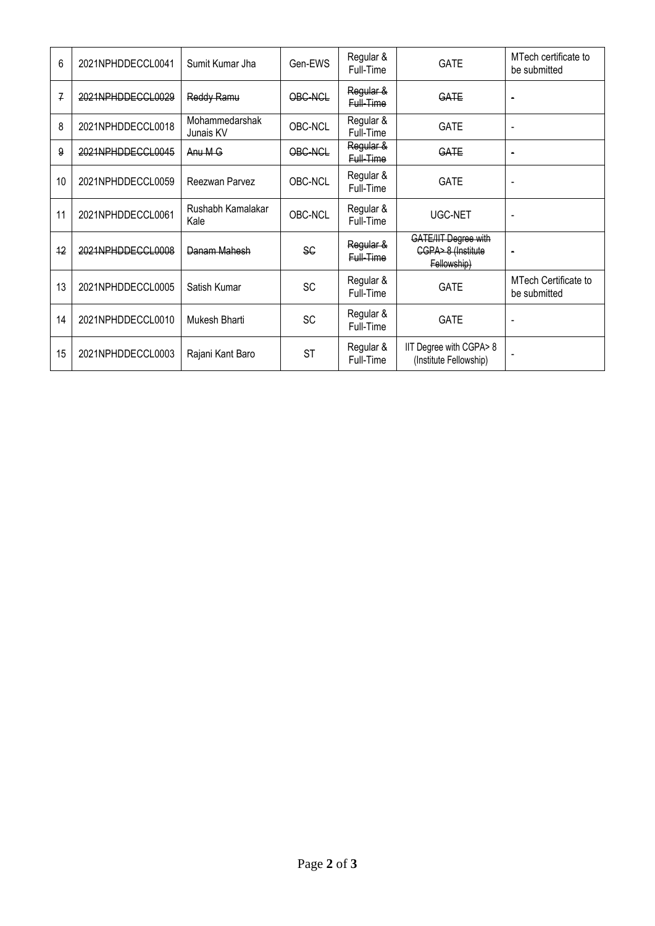| 6             | 2021NPHDDECCL0041 | Sumit Kumar Jha             | Gen-EWS   | Regular &<br>Full-Time | <b>GATE</b>                                               | MTech certificate to<br>be submitted |
|---------------|-------------------|-----------------------------|-----------|------------------------|-----------------------------------------------------------|--------------------------------------|
| $\mathcal{I}$ | 2021NPHDDECCL0029 | Reddy Ramu                  | OBC-NCL   | Regular &<br>Full-Time | GATE                                                      | $\blacksquare$                       |
| 8             | 2021NPHDDECCL0018 | Mohammedarshak<br>Junais KV | OBC-NCL   | Regular &<br>Full-Time | <b>GATE</b>                                               | $\blacksquare$                       |
| 9             | 2021NPHDDECCL0045 | Anu M G                     | OBC-NCL   | Regular &<br>Full-Time | GATE                                                      | $\blacksquare$                       |
| 10            | 2021NPHDDECCL0059 | Reezwan Parvez              | OBC-NCL   | Regular &<br>Full-Time | <b>GATE</b>                                               | $\qquad \qquad \blacksquare$         |
| 11            | 2021NPHDDECCL0061 | Rushabh Kamalakar<br>Kale   | OBC-NCL   | Regular &<br>Full-Time | UGC-NET                                                   |                                      |
| 12            | 2021NPHDDECCL0008 | Danam Mahesh                | <b>SC</b> | Regular &<br>Full-Time | GATE/IIT Degree with<br>CGPA> 8 (Institute<br>Fellowship) | $\blacksquare$                       |
| 13            | 2021NPHDDECCL0005 | Satish Kumar                | <b>SC</b> | Regular &<br>Full-Time | <b>GATE</b>                                               | MTech Certificate to<br>be submitted |
| 14            | 2021NPHDDECCL0010 | Mukesh Bharti               | <b>SC</b> | Regular &<br>Full-Time | <b>GATE</b>                                               | $\qquad \qquad \blacksquare$         |
| 15            | 2021NPHDDECCL0003 | Rajani Kant Baro            | <b>ST</b> | Regular &<br>Full-Time | IIT Degree with CGPA>8<br>(Institute Fellowship)          |                                      |